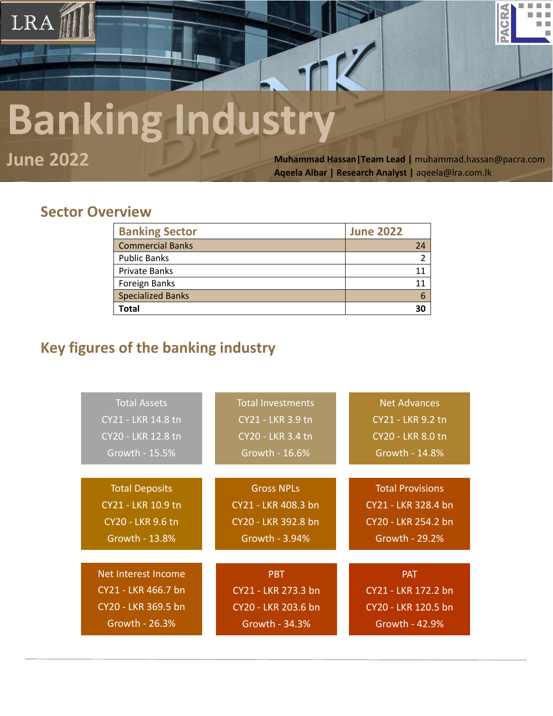# **Banking Industry**

LRA

**June 2022 Muhammad Hassan|Team Lead |** [muhammad.hassan@pacra.com](mailto:muhammad.hassan@pacra.com) **Aqeela Albar | Research Analyst |** [aqeela@lra.com.lk](mailto:aqeela@lra.com.lk)

PACR

### **Sector Overview**

| <b>Banking Sector</b>    | <b>June 2022</b> |
|--------------------------|------------------|
| <b>Commercial Banks</b>  | 24               |
| <b>Public Banks</b>      |                  |
| <b>Private Banks</b>     |                  |
| Foreign Banks            |                  |
| <b>Specialized Banks</b> |                  |
| Total                    | 30               |

## **Key figures of the banking industry**

| <b>Total Assets</b>      | <b>Total Investments</b> | <b>Net Advances</b>      |
|--------------------------|--------------------------|--------------------------|
| CY21 - LKR 14.8 tn       | CY21 - LKR 3.9 tn        | CY21 - LKR 9.2 tn        |
| CY20 - LKR 12.8 tn       | CY20 - LKR 3.4 tn        | <b>CY20 - LKR 8.0 tn</b> |
| Growth - 15.5%           | Growth - 16.6%           | Growth - 14.8%           |
| <b>Total Deposits</b>    | <b>Gross NPLs</b>        | <b>Total Provisions</b>  |
| CY21 - LKR 10.9 tn       | CY21 - LKR 408.3 bn      | CY21 - LKR 328.4 bn      |
| <b>CY20 - LKR 9.6 tn</b> | CY20 - LKR 392.8 bn      | CY20 - LKR 254.2 bn      |
| Growth - 13.8%           | Growth - 3.94%           | Growth - 29.2%           |
| Net Interest Income      | <b>PBT</b>               | <b>PAT</b>               |
| CY21 - LKR 466.7 bn      | CY21 - LKR 273.3 bn      | CY21 - LKR 172.2 bn      |
| CY20 - LKR 369.5 bn      | CY20 - LKR 203.6 bn      | CY20 - LKR 120.5 bn      |
| Growth - 26.3%           | Growth - 34.3%           | Growth - 42.9%           |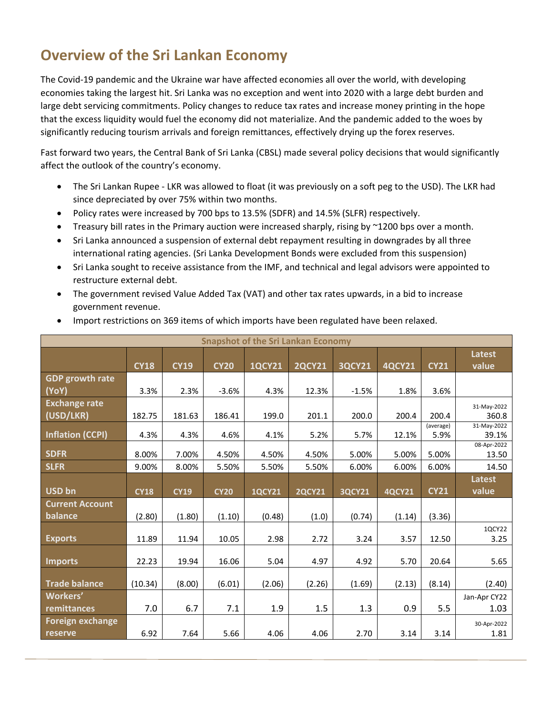# **Overview of the Sri Lankan Economy**

The Covid-19 pandemic and the Ukraine war have affected economies all over the world, with developing economies taking the largest hit. Sri Lanka was no exception and went into 2020 with a large debt burden and large debt servicing commitments. Policy changes to reduce tax rates and increase money printing in the hope that the excess liquidity would fuel the economy did not materialize. And the pandemic added to the woes by significantly reducing tourism arrivals and foreign remittances, effectively drying up the forex reserves.

Fast forward two years, the Central Bank of Sri Lanka (CBSL) made several policy decisions that would significantly affect the outlook of the country's economy.

- The Sri Lankan Rupee LKR was allowed to float (it was previously on a soft peg to the USD). The LKR had since depreciated by over 75% within two months.
- Policy rates were increased by 700 bps to 13.5% (SDFR) and 14.5% (SLFR) respectively.
- Treasury bill rates in the Primary auction were increased sharply, rising by ~1200 bps over a month.
- Sri Lanka announced a suspension of external debt repayment resulting in downgrades by all three international rating agencies. (Sri Lanka Development Bonds were excluded from this suspension)
- Sri Lanka sought to receive assistance from the IMF, and technical and legal advisors were appointed to restructure external debt.
- The government revised Value Added Tax (VAT) and other tax rates upwards, in a bid to increase government revenue.

|                         | <b>Snapshot of the Sri Lankan Economy</b> |             |             |               |               |               |               |             |                      |  |  |
|-------------------------|-------------------------------------------|-------------|-------------|---------------|---------------|---------------|---------------|-------------|----------------------|--|--|
|                         |                                           |             |             |               |               |               |               |             | <b>Latest</b>        |  |  |
|                         | <b>CY18</b>                               | <b>CY19</b> | <b>CY20</b> | <b>1QCY21</b> | <b>2QCY21</b> | <b>3QCY21</b> | <b>4QCY21</b> | <b>CY21</b> | value                |  |  |
| <b>GDP</b> growth rate  |                                           |             |             |               |               |               |               |             |                      |  |  |
| (YoY)                   | 3.3%                                      | 2.3%        | $-3.6%$     | 4.3%          | 12.3%         | $-1.5%$       | 1.8%          | 3.6%        |                      |  |  |
| <b>Exchange rate</b>    |                                           |             |             |               |               |               |               |             | 31-May-2022          |  |  |
| (USD/LKR)               | 182.75                                    | 181.63      | 186.41      | 199.0         | 201.1         | 200.0         | 200.4         | 200.4       | 360.8                |  |  |
|                         |                                           |             |             |               |               |               |               | (average)   | 31-May-2022          |  |  |
| <b>Inflation (CCPI)</b> | 4.3%                                      | 4.3%        | 4.6%        | 4.1%          | 5.2%          | 5.7%          | 12.1%         | 5.9%        | 39.1%                |  |  |
| <b>SDFR</b>             | 8.00%                                     | 7.00%       | 4.50%       | 4.50%         | 4.50%         | 5.00%         | 5.00%         | 5.00%       | 08-Apr-2022<br>13.50 |  |  |
| <b>SLFR</b>             | 9.00%                                     | 8.00%       | 5.50%       | 5.50%         | 5.50%         | 6.00%         | 6.00%         | 6.00%       | 14.50                |  |  |
|                         |                                           |             |             |               |               |               |               |             | Latest               |  |  |
| USD bn                  | <b>CY18</b>                               | <b>CY19</b> | <b>CY20</b> | <b>1QCY21</b> | <b>2QCY21</b> | <b>3QCY21</b> | <b>4QCY21</b> | <b>CY21</b> | value                |  |  |
| <b>Current Account</b>  |                                           |             |             |               |               |               |               |             |                      |  |  |
| balance                 | (2.80)                                    | (1.80)      | (1.10)      | (0.48)        | (1.0)         | (0.74)        | (1.14)        | (3.36)      |                      |  |  |
|                         |                                           |             |             |               |               |               |               |             | 1QCY22               |  |  |
| <b>Exports</b>          | 11.89                                     | 11.94       | 10.05       | 2.98          | 2.72          | 3.24          | 3.57          | 12.50       | 3.25                 |  |  |
|                         |                                           |             |             |               |               |               |               |             |                      |  |  |
| Imports                 | 22.23                                     | 19.94       | 16.06       | 5.04          | 4.97          | 4.92          | 5.70          | 20.64       | 5.65                 |  |  |
|                         |                                           |             |             |               |               |               |               |             |                      |  |  |
| <b>Trade balance</b>    | (10.34)                                   | (8.00)      | (6.01)      | (2.06)        | (2.26)        | (1.69)        | (2.13)        | (8.14)      | (2.40)               |  |  |
| Workers'                |                                           |             |             |               |               |               |               |             | Jan-Apr CY22         |  |  |
| remittances             | 7.0                                       | 6.7         | 7.1         | 1.9           | $1.5\,$       | 1.3           | 0.9           | 5.5         | 1.03                 |  |  |
| <b>Foreign exchange</b> |                                           |             |             |               |               |               |               |             | 30-Apr-2022          |  |  |
| reserve                 | 6.92                                      | 7.64        | 5.66        | 4.06          | 4.06          | 2.70          | 3.14          | 3.14        | 1.81                 |  |  |

• Import restrictions on 369 items of which imports have been regulated have been relaxed.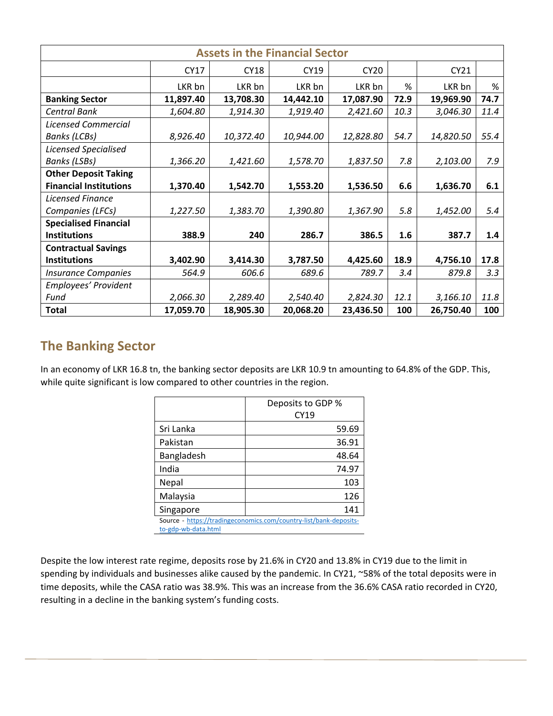|                               | <b>Assets in the Financial Sector</b> |             |           |             |      |           |      |  |  |  |  |
|-------------------------------|---------------------------------------|-------------|-----------|-------------|------|-----------|------|--|--|--|--|
|                               | CY17                                  | <b>CY18</b> | CY19      | <b>CY20</b> |      | CY21      |      |  |  |  |  |
|                               | LKR bn                                | LKR bn      | LKR bn    | LKR bn      | %    | LKR bn    | %    |  |  |  |  |
| <b>Banking Sector</b>         | 11,897.40                             | 13,708.30   | 14,442.10 | 17,087.90   | 72.9 | 19,969.90 | 74.7 |  |  |  |  |
| Central Bank                  | 1,604.80                              | 1,914.30    | 1,919.40  | 2,421.60    | 10.3 | 3,046.30  | 11.4 |  |  |  |  |
| <b>Licensed Commercial</b>    |                                       |             |           |             |      |           |      |  |  |  |  |
| <b>Banks (LCBs)</b>           | 8,926.40                              | 10,372.40   | 10,944.00 | 12,828.80   | 54.7 | 14,820.50 | 55.4 |  |  |  |  |
| <b>Licensed Specialised</b>   |                                       |             |           |             |      |           |      |  |  |  |  |
| <b>Banks</b> (LSBs)           | 1,366.20                              | 1,421.60    | 1,578.70  | 1,837.50    | 7.8  | 2,103.00  | 7.9  |  |  |  |  |
| <b>Other Deposit Taking</b>   |                                       |             |           |             |      |           |      |  |  |  |  |
| <b>Financial Institutions</b> | 1,370.40                              | 1,542.70    | 1,553.20  | 1,536.50    | 6.6  | 1,636.70  | 6.1  |  |  |  |  |
| Licensed Finance              |                                       |             |           |             |      |           |      |  |  |  |  |
| Companies (LFCs)              | 1,227.50                              | 1,383.70    | 1,390.80  | 1,367.90    | 5.8  | 1,452.00  | 5.4  |  |  |  |  |
| <b>Specialised Financial</b>  |                                       |             |           |             |      |           |      |  |  |  |  |
| <b>Institutions</b>           | 388.9                                 | 240         | 286.7     | 386.5       | 1.6  | 387.7     | 1.4  |  |  |  |  |
| <b>Contractual Savings</b>    |                                       |             |           |             |      |           |      |  |  |  |  |
| <b>Institutions</b>           | 3,402.90                              | 3,414.30    | 3,787.50  | 4,425.60    | 18.9 | 4,756.10  | 17.8 |  |  |  |  |
| <b>Insurance Companies</b>    | 564.9                                 | 606.6       | 689.6     | 789.7       | 3.4  | 879.8     | 3.3  |  |  |  |  |
| Employees' Provident          |                                       |             |           |             |      |           |      |  |  |  |  |
| Fund                          | 2,066.30                              | 2,289.40    | 2,540.40  | 2,824.30    | 12.1 | 3,166.10  | 11.8 |  |  |  |  |
| <b>Total</b>                  | 17,059.70                             | 18,905.30   | 20,068.20 | 23,436.50   | 100  | 26,750.40 | 100  |  |  |  |  |

#### **The Banking Sector**

In an economy of LKR 16.8 tn, the banking sector deposits are LKR 10.9 tn amounting to 64.8% of the GDP. This, while quite significant is low compared to other countries in the region.

|                                                                   | Deposits to GDP % |  |  |  |
|-------------------------------------------------------------------|-------------------|--|--|--|
|                                                                   | CY19              |  |  |  |
| Sri Lanka                                                         | 59.69             |  |  |  |
| Pakistan                                                          | 36.91             |  |  |  |
| Bangladesh                                                        | 48.64             |  |  |  |
| India                                                             | 74.97             |  |  |  |
| Nepal                                                             | 103               |  |  |  |
| Malaysia                                                          | 126               |  |  |  |
| Singapore                                                         | 141               |  |  |  |
| Source - https://tradingeconomics.com/country-list/bank-deposits- |                   |  |  |  |
| to-gdp-wb-data.html                                               |                   |  |  |  |

Despite the low interest rate regime, deposits rose by 21.6% in CY20 and 13.8% in CY19 due to the limit in spending by individuals and businesses alike caused by the pandemic. In CY21, ~58% of the total deposits were in time deposits, while the CASA ratio was 38.9%. This was an increase from the 36.6% CASA ratio recorded in CY20, resulting in a decline in the banking system's funding costs.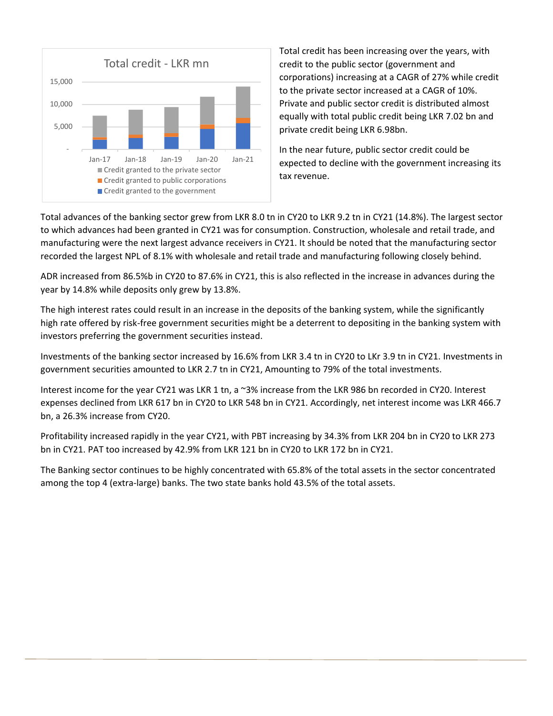

Total credit has been increasing over the years, with credit to the public sector (government and corporations) increasing at a CAGR of 27% while credit to the private sector increased at a CAGR of 10%. Private and public sector credit is distributed almost equally with total public credit being LKR 7.02 bn and private credit being LKR 6.98bn.

In the near future, public sector credit could be expected to decline with the government increasing its tax revenue.

Total advances of the banking sector grew from LKR 8.0 tn in CY20 to LKR 9.2 tn in CY21 (14.8%). The largest sector to which advances had been granted in CY21 was for consumption. Construction, wholesale and retail trade, and manufacturing were the next largest advance receivers in CY21. It should be noted that the manufacturing sector recorded the largest NPL of 8.1% with wholesale and retail trade and manufacturing following closely behind.

ADR increased from 86.5%b in CY20 to 87.6% in CY21, this is also reflected in the increase in advances during the year by 14.8% while deposits only grew by 13.8%.

The high interest rates could result in an increase in the deposits of the banking system, while the significantly high rate offered by risk-free government securities might be a deterrent to depositing in the banking system with investors preferring the government securities instead.

Investments of the banking sector increased by 16.6% from LKR 3.4 tn in CY20 to LKr 3.9 tn in CY21. Investments in government securities amounted to LKR 2.7 tn in CY21, Amounting to 79% of the total investments.

Interest income for the year CY21 was LKR 1 tn, a ~3% increase from the LKR 986 bn recorded in CY20. Interest expenses declined from LKR 617 bn in CY20 to LKR 548 bn in CY21. Accordingly, net interest income was LKR 466.7 bn, a 26.3% increase from CY20.

Profitability increased rapidly in the year CY21, with PBT increasing by 34.3% from LKR 204 bn in CY20 to LKR 273 bn in CY21. PAT too increased by 42.9% from LKR 121 bn in CY20 to LKR 172 bn in CY21.

The Banking sector continues to be highly concentrated with 65.8% of the total assets in the sector concentrated among the top 4 (extra-large) banks. The two state banks hold 43.5% of the total assets.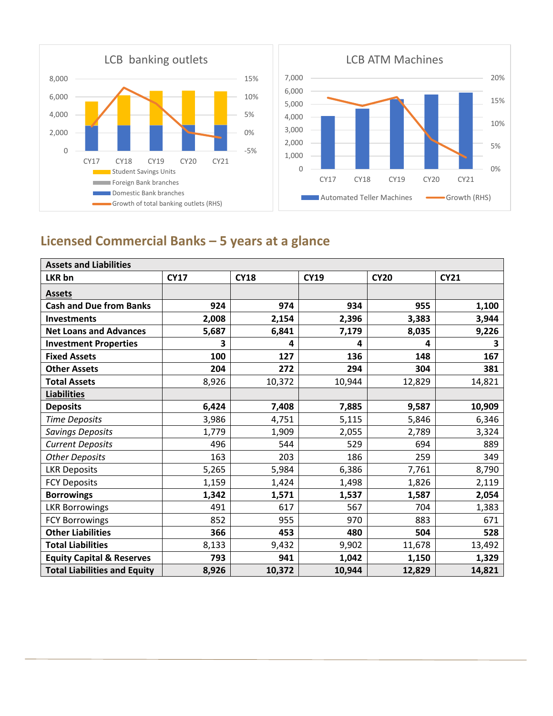

0%

5%

10%

15%

20%

## **Licensed Commercial Banks – 5 years at a glance**

| <b>Assets and Liabilities</b>        |             |             |             |             |             |  |  |  |  |
|--------------------------------------|-------------|-------------|-------------|-------------|-------------|--|--|--|--|
| LKR bn                               | <b>CY17</b> | <b>CY18</b> | <b>CY19</b> | <b>CY20</b> | <b>CY21</b> |  |  |  |  |
| <b>Assets</b>                        |             |             |             |             |             |  |  |  |  |
| <b>Cash and Due from Banks</b>       | 924         | 974         | 934         | 955         | 1,100       |  |  |  |  |
| <b>Investments</b>                   | 2,008       | 2,154       | 2,396       | 3,383       | 3,944       |  |  |  |  |
| <b>Net Loans and Advances</b>        | 5,687       | 6,841       | 7,179       | 8,035       | 9,226       |  |  |  |  |
| <b>Investment Properties</b>         | 3           | 4           | 4           | 4           | 3           |  |  |  |  |
| <b>Fixed Assets</b>                  | 100         | 127         | 136         | 148         | 167         |  |  |  |  |
| <b>Other Assets</b>                  | 204         | 272         | 294         | 304         | 381         |  |  |  |  |
| <b>Total Assets</b>                  | 8,926       | 10,372      | 10,944      | 12,829      | 14,821      |  |  |  |  |
| <b>Liabilities</b>                   |             |             |             |             |             |  |  |  |  |
| <b>Deposits</b>                      | 6,424       | 7,408       | 7,885       | 9,587       | 10,909      |  |  |  |  |
| <b>Time Deposits</b>                 | 3,986       | 4,751       | 5,115       | 5,846       | 6,346       |  |  |  |  |
| Savings Deposits                     | 1,779       | 1,909       | 2,055       | 2,789       | 3,324       |  |  |  |  |
| <b>Current Deposits</b>              | 496         | 544         | 529         | 694         | 889         |  |  |  |  |
| <b>Other Deposits</b>                | 163         | 203         | 186         | 259         | 349         |  |  |  |  |
| <b>LKR Deposits</b>                  | 5,265       | 5,984       | 6,386       | 7,761       | 8,790       |  |  |  |  |
| <b>FCY Deposits</b>                  | 1,159       | 1,424       | 1,498       | 1,826       | 2,119       |  |  |  |  |
| <b>Borrowings</b>                    | 1,342       | 1,571       | 1,537       | 1,587       | 2,054       |  |  |  |  |
| <b>LKR Borrowings</b>                | 491         | 617         | 567         | 704         | 1,383       |  |  |  |  |
| <b>FCY Borrowings</b>                | 852         | 955         | 970         | 883         | 671         |  |  |  |  |
| <b>Other Liabilities</b>             | 366         | 453         | 480         | 504         | 528         |  |  |  |  |
| <b>Total Liabilities</b>             | 8,133       | 9,432       | 9,902       | 11,678      | 13,492      |  |  |  |  |
| <b>Equity Capital &amp; Reserves</b> | 793         | 941         | 1,042       | 1,150       | 1,329       |  |  |  |  |
| <b>Total Liabilities and Equity</b>  | 8,926       | 10,372      | 10,944      | 12,829      | 14,821      |  |  |  |  |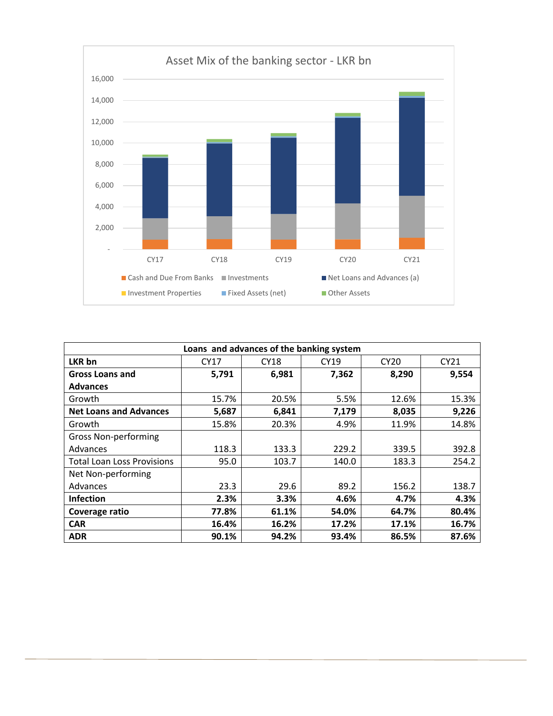

| Loans and advances of the banking system |       |       |       |                  |       |  |  |  |  |  |
|------------------------------------------|-------|-------|-------|------------------|-------|--|--|--|--|--|
| LKR bn                                   | CY17  | CY18  | CY19  | CY <sub>20</sub> | CY21  |  |  |  |  |  |
| <b>Gross Loans and</b>                   | 5,791 | 6,981 | 7,362 | 8,290            | 9,554 |  |  |  |  |  |
| <b>Advances</b>                          |       |       |       |                  |       |  |  |  |  |  |
| Growth                                   | 15.7% | 20.5% | 5.5%  | 12.6%            | 15.3% |  |  |  |  |  |
| <b>Net Loans and Advances</b>            | 5,687 | 6,841 | 7,179 | 8,035            | 9,226 |  |  |  |  |  |
| Growth                                   | 15.8% | 20.3% | 4.9%  | 11.9%            | 14.8% |  |  |  |  |  |
| <b>Gross Non-performing</b>              |       |       |       |                  |       |  |  |  |  |  |
| Advances                                 | 118.3 | 133.3 | 229.2 | 339.5            | 392.8 |  |  |  |  |  |
| <b>Total Loan Loss Provisions</b>        | 95.0  | 103.7 | 140.0 | 183.3            | 254.2 |  |  |  |  |  |
| Net Non-performing                       |       |       |       |                  |       |  |  |  |  |  |
| Advances                                 | 23.3  | 29.6  | 89.2  | 156.2            | 138.7 |  |  |  |  |  |
| <b>Infection</b>                         | 2.3%  | 3.3%  | 4.6%  | 4.7%             | 4.3%  |  |  |  |  |  |
| Coverage ratio                           | 77.8% | 61.1% | 54.0% | 64.7%            | 80.4% |  |  |  |  |  |
| <b>CAR</b>                               | 16.4% | 16.2% | 17.2% | 17.1%            | 16.7% |  |  |  |  |  |
| <b>ADR</b>                               | 90.1% | 94.2% | 93.4% | 86.5%            | 87.6% |  |  |  |  |  |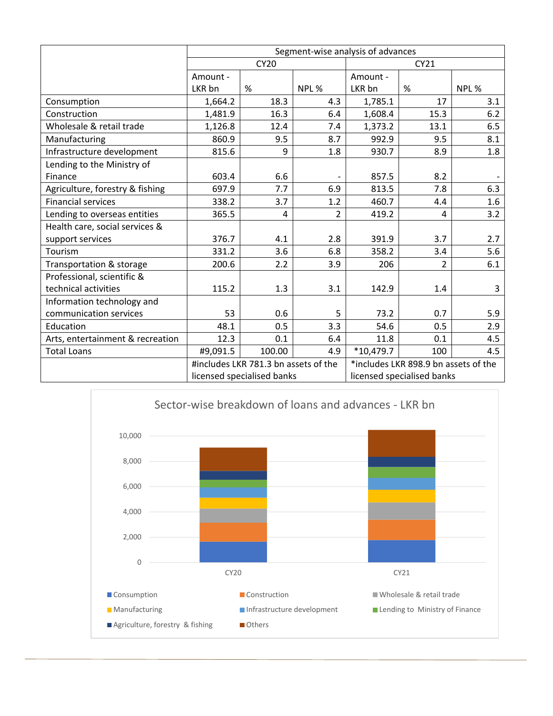|                                  | Segment-wise analysis of advances |                                      |                |                                      |                |       |  |
|----------------------------------|-----------------------------------|--------------------------------------|----------------|--------------------------------------|----------------|-------|--|
|                                  |                                   | <b>CY20</b>                          |                |                                      | CY21           |       |  |
|                                  | Amount -                          |                                      |                | Amount -                             |                |       |  |
|                                  | LKR bn                            | %                                    | NPL %          | LKR bn                               | %              | NPL % |  |
| Consumption                      | 1,664.2                           | 18.3                                 | 4.3            | 1,785.1                              | 17             | 3.1   |  |
| Construction                     | 1,481.9                           | 16.3                                 | 6.4            | 1,608.4                              | 15.3           | 6.2   |  |
| Wholesale & retail trade         | 1,126.8                           | 12.4                                 | 7.4            | 1,373.2                              | 13.1           | 6.5   |  |
| Manufacturing                    | 860.9                             | 9.5                                  | 8.7            | 992.9                                | 9.5            | 8.1   |  |
| Infrastructure development       | 815.6                             | 9                                    | 1.8            | 930.7                                | 8.9            | 1.8   |  |
| Lending to the Ministry of       |                                   |                                      |                |                                      |                |       |  |
| Finance                          | 603.4                             | 6.6                                  |                | 857.5                                | 8.2            |       |  |
| Agriculture, forestry & fishing  | 697.9                             | 7.7                                  | 6.9            | 813.5                                | 7.8            | 6.3   |  |
| <b>Financial services</b>        | 338.2                             | 3.7                                  | 1.2            | 460.7                                | 4.4            | 1.6   |  |
| Lending to overseas entities     | 365.5                             | 4                                    | $\overline{2}$ | 419.2                                | 4              | 3.2   |  |
| Health care, social services &   |                                   |                                      |                |                                      |                |       |  |
| support services                 | 376.7                             | 4.1                                  | 2.8            | 391.9                                | 3.7            | 2.7   |  |
| Tourism                          | 331.2                             | 3.6                                  | 6.8            | 358.2                                | 3.4            | 5.6   |  |
| Transportation & storage         | 200.6                             | 2.2                                  | 3.9            | 206                                  | $\overline{2}$ | 6.1   |  |
| Professional, scientific &       |                                   |                                      |                |                                      |                |       |  |
| technical activities             | 115.2                             | 1.3                                  | 3.1            | 142.9                                | 1.4            | 3     |  |
| Information technology and       |                                   |                                      |                |                                      |                |       |  |
| communication services           | 53                                | 0.6                                  | 5              | 73.2                                 | 0.7            | 5.9   |  |
| Education                        | 48.1                              | 0.5                                  | 3.3            | 54.6                                 | 0.5            | 2.9   |  |
| Arts, entertainment & recreation | 12.3                              | 0.1                                  | 6.4            | 11.8                                 | 0.1            | 4.5   |  |
| <b>Total Loans</b>               | #9,091.5                          | 100.00                               | 4.9            | *10,479.7                            | 100            | 4.5   |  |
|                                  |                                   | #includes LKR 781.3 bn assets of the |                | *includes LKR 898.9 bn assets of the |                |       |  |
|                                  |                                   | licensed specialised banks           |                | licensed specialised banks           |                |       |  |

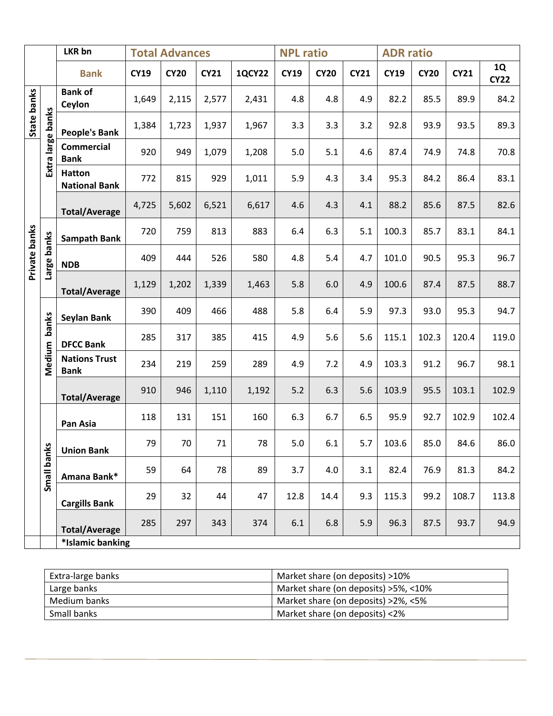|               |             | LKR bn                                | <b>Total Advances</b> |             |             | <b>NPL ratio</b> |             |             | <b>ADR</b> ratio |             |             |             |                   |
|---------------|-------------|---------------------------------------|-----------------------|-------------|-------------|------------------|-------------|-------------|------------------|-------------|-------------|-------------|-------------------|
|               |             | <b>Bank</b>                           | <b>CY19</b>           | <b>CY20</b> | <b>CY21</b> | <b>1QCY22</b>    | <b>CY19</b> | <b>CY20</b> | <b>CY21</b>      | <b>CY19</b> | <b>CY20</b> | <b>CY21</b> | 1Q<br><b>CY22</b> |
| State banks   |             | <b>Bank of</b><br>Ceylon              | 1,649                 | 2,115       | 2,577       | 2,431            | 4.8         | 4.8         | 4.9              | 82.2        | 85.5        | 89.9        | 84.2              |
|               | banks       | <b>People's Bank</b>                  | 1,384                 | 1,723       | 1,937       | 1,967            | 3.3         | 3.3         | 3.2              | 92.8        | 93.9        | 93.5        | 89.3              |
|               | Extra large | <b>Commercial</b><br><b>Bank</b>      | 920                   | 949         | 1,079       | 1,208            | 5.0         | 5.1         | 4.6              | 87.4        | 74.9        | 74.8        | 70.8              |
|               |             | <b>Hatton</b><br><b>National Bank</b> | 772                   | 815         | 929         | 1,011            | 5.9         | 4.3         | 3.4              | 95.3        | 84.2        | 86.4        | 83.1              |
|               |             | <b>Total/Average</b>                  | 4,725                 | 5,602       | 6,521       | 6,617            | 4.6         | 4.3         | 4.1              | 88.2        | 85.6        | 87.5        | 82.6              |
|               | banks       | <b>Sampath Bank</b>                   | 720                   | 759         | 813         | 883              | 6.4         | 6.3         | 5.1              | 100.3       | 85.7        | 83.1        | 84.1              |
| Private banks | Large       | <b>NDB</b>                            | 409                   | 444         | 526         | 580              | 4.8         | 5.4         | 4.7              | 101.0       | 90.5        | 95.3        | 96.7              |
|               |             | <b>Total/Average</b>                  | 1,129                 | 1,202       | 1,339       | 1,463            | 5.8         | 6.0         | 4.9              | 100.6       | 87.4        | 87.5        | 88.7              |
|               | banks       | Seylan Bank                           | 390                   | 409         | 466         | 488              | 5.8         | 6.4         | 5.9              | 97.3        | 93.0        | 95.3        | 94.7              |
|               |             | <b>DFCC Bank</b>                      | 285                   | 317         | 385         | 415              | 4.9         | 5.6         | 5.6              | 115.1       | 102.3       | 120.4       | 119.0             |
|               | Medium      | <b>Nations Trust</b><br><b>Bank</b>   | 234                   | 219         | 259         | 289              | 4.9         | 7.2         | 4.9              | 103.3       | 91.2        | 96.7        | 98.1              |
|               |             | <b>Total/Average</b>                  | 910                   | 946         | 1,110       | 1,192            | 5.2         | 6.3         | 5.6              | 103.9       | 95.5        | 103.1       | 102.9             |
|               |             | Pan Asia                              | 118                   | 131         | 151         | 160              | 6.3         | 6.7         | 6.5              | 95.9        | 92.7        | 102.9       | 102.4             |
|               | <u>ୁ</u>    | <b>Union Bank</b>                     | 79                    | 70          | 71          | 78               | 5.0         | 6.1         | 5.7              | 103.6       | 85.0        | 84.6        | 86.0              |
|               | Small ban   | Amana Bank*                           | 59                    | 64          | 78          | 89               | 3.7         | 4.0         | 3.1              | 82.4        | 76.9        | 81.3        | 84.2              |
|               |             | <b>Cargills Bank</b>                  | 29                    | 32          | 44          | 47               | 12.8        | 14.4        | 9.3              | 115.3       | 99.2        | 108.7       | 113.8             |
|               |             | <b>Total/Average</b>                  | 285                   | 297         | 343         | 374              | 6.1         | 6.8         | 5.9              | 96.3        | 87.5        | 93.7        | 94.9              |
|               |             | *Islamic banking                      |                       |             |             |                  |             |             |                  |             |             |             |                   |

| Extra-large banks | Market share (on deposits) >10%        |
|-------------------|----------------------------------------|
| Large banks       | Market share (on deposits) > 5%, < 10% |
| Medium banks      | Market share (on deposits) >2%, <5%    |
| Small banks       | Market share (on deposits) <2%         |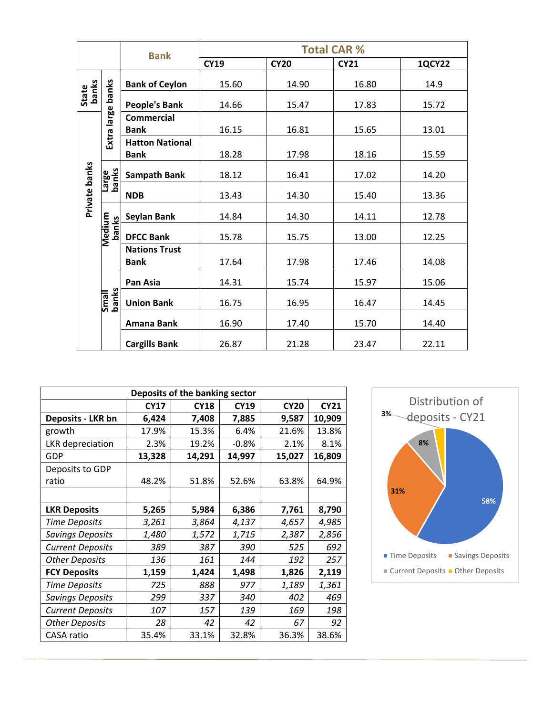|                |                        | <b>Bank</b>                           |             |             | <b>Total CAR %</b> |               |
|----------------|------------------------|---------------------------------------|-------------|-------------|--------------------|---------------|
|                |                        |                                       | <b>CY19</b> | <b>CY20</b> | <b>CY21</b>        | <b>1QCY22</b> |
|                |                        | <b>Bank of Ceylon</b>                 | 15.60       | 14.90       | 16.80              | 14.9          |
| State<br>banks |                        | <b>People's Bank</b>                  | 14.66       | 15.47       | 17.83              | 15.72         |
|                | Extra large banks      | <b>Commercial</b><br><b>Bank</b>      | 16.15       | 16.81       | 15.65              | 13.01         |
|                |                        | <b>Hatton National</b><br><b>Bank</b> | 18.28       | 17.98       | 18.16              | 15.59         |
|                | Large<br>banks         | <b>Sampath Bank</b>                   | 18.12       | 16.41       | 17.02              | 14.20         |
| Private banks  |                        | <b>NDB</b>                            | 13.43       | 14.30       | 15.40              | 13.36         |
|                |                        | <b>Seylan Bank</b>                    | 14.84       | 14.30       | 14.11              | 12.78         |
|                | <b>Medium</b><br>banks | <b>DFCC Bank</b>                      | 15.78       | 15.75       | 13.00              | 12.25         |
|                |                        | <b>Nations Trust</b><br><b>Bank</b>   | 17.64       | 17.98       | 17.46              | 14.08         |
|                |                        | Pan Asia                              | 14.31       | 15.74       | 15.97              | 15.06         |
|                | Small<br>banks         | <b>Union Bank</b>                     | 16.75       | 16.95       | 16.47              | 14.45         |
|                |                        | Amana Bank                            | 16.90       | 17.40       | 15.70              | 14.40         |
|                |                        | <b>Cargills Bank</b>                  | 26.87       | 21.28       | 23.47              | 22.11         |

| Deposits of the banking sector |                                                                         |        |         |        |        |  |  |  |  |  |
|--------------------------------|-------------------------------------------------------------------------|--------|---------|--------|--------|--|--|--|--|--|
|                                | <b>CY21</b><br><b>CY17</b><br><b>CY18</b><br><b>CY19</b><br><b>CY20</b> |        |         |        |        |  |  |  |  |  |
| Deposits - LKR bn              | 6,424                                                                   | 7,408  | 7,885   | 9,587  | 10,909 |  |  |  |  |  |
| growth                         | 17.9%                                                                   | 15.3%  | 6.4%    | 21.6%  | 13.8%  |  |  |  |  |  |
| LKR depreciation               | 2.3%                                                                    | 19.2%  | $-0.8%$ | 2.1%   | 8.1%   |  |  |  |  |  |
| GDP                            | 13,328                                                                  | 14,291 | 14,997  | 15,027 | 16,809 |  |  |  |  |  |
| Deposits to GDP                |                                                                         |        |         |        |        |  |  |  |  |  |
| ratio                          | 48.2%                                                                   | 51.8%  | 52.6%   | 63.8%  | 64.9%  |  |  |  |  |  |
|                                |                                                                         |        |         |        |        |  |  |  |  |  |
| <b>LKR Deposits</b>            | 5,265                                                                   | 5,984  | 6,386   | 7,761  | 8,790  |  |  |  |  |  |
| <b>Time Deposits</b>           | 3,261                                                                   | 3,864  | 4,137   | 4,657  | 4,985  |  |  |  |  |  |
| Savings Deposits               | 1,480                                                                   | 1,572  | 1,715   | 2,387  | 2,856  |  |  |  |  |  |
| <b>Current Deposits</b>        | 389                                                                     | 387    | 390     | 525    | 692    |  |  |  |  |  |
| <b>Other Deposits</b>          | 136                                                                     | 161    | 144     | 192    | 257    |  |  |  |  |  |
| <b>FCY Deposits</b>            | 1,159                                                                   | 1,424  | 1,498   | 1,826  | 2,119  |  |  |  |  |  |
| <b>Time Deposits</b>           | 725                                                                     | 888    | 977     | 1,189  | 1,361  |  |  |  |  |  |
| <b>Savings Deposits</b>        | 299                                                                     | 337    | 340     | 402    | 469    |  |  |  |  |  |
| <b>Current Deposits</b>        | 107                                                                     | 157    | 139     | 169    | 198    |  |  |  |  |  |
| <b>Other Deposits</b>          | 28                                                                      | 42     | 42      | 67     | 92     |  |  |  |  |  |
| CASA ratio                     | 35.4%                                                                   | 33.1%  | 32.8%   | 36.3%  | 38.6%  |  |  |  |  |  |

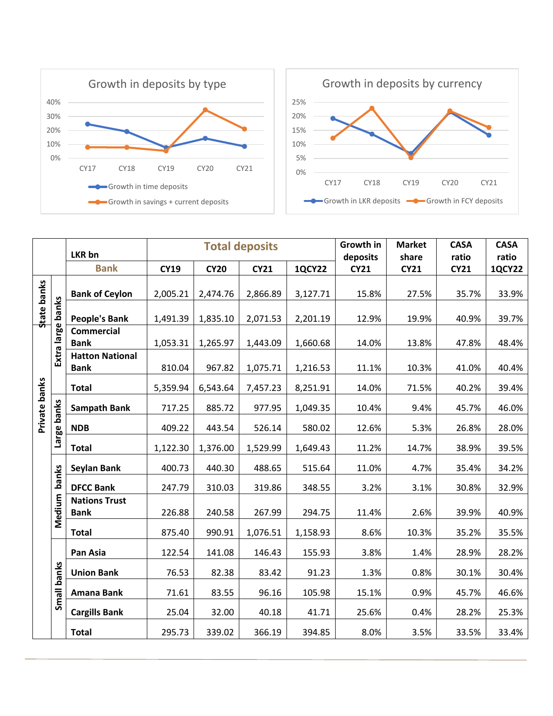



|                    |                   | <b>LKR</b> bn                         |             |             | <b>Total deposits</b> |               | Growth in<br>deposits | <b>Market</b><br>share | <b>CASA</b><br>ratio | <b>CASA</b><br>ratio |
|--------------------|-------------------|---------------------------------------|-------------|-------------|-----------------------|---------------|-----------------------|------------------------|----------------------|----------------------|
|                    |                   | <b>Bank</b>                           | <b>CY19</b> | <b>CY20</b> | <b>CY21</b>           | <b>1QCY22</b> | <b>CY21</b>           | <b>CY21</b>            | <b>CY21</b>          | <b>1QCY22</b>        |
| <b>State banks</b> |                   | <b>Bank of Ceylon</b>                 | 2,005.21    | 2,474.76    | 2,866.89              | 3,127.71      | 15.8%                 | 27.5%                  | 35.7%                | 33.9%                |
|                    |                   | <b>People's Bank</b>                  | 1,491.39    | 1,835.10    | 2,071.53              | 2,201.19      | 12.9%                 | 19.9%                  | 40.9%                | 39.7%                |
|                    | Extra large banks | <b>Commercial</b><br><b>Bank</b>      | 1,053.31    | 1,265.97    | 1,443.09              | 1,660.68      | 14.0%                 | 13.8%                  | 47.8%                | 48.4%                |
|                    |                   | <b>Hatton National</b><br><b>Bank</b> | 810.04      | 967.82      | 1,075.71              | 1,216.53      | 11.1%                 | 10.3%                  | 41.0%                | 40.4%                |
| Private banks      |                   | <b>Total</b>                          | 5,359.94    | 6,543.64    | 7,457.23              | 8,251.91      | 14.0%                 | 71.5%                  | 40.2%                | 39.4%                |
|                    | Large banks       | <b>Sampath Bank</b>                   | 717.25      | 885.72      | 977.95                | 1,049.35      | 10.4%                 | 9.4%                   | 45.7%                | 46.0%                |
|                    |                   | <b>NDB</b>                            | 409.22      | 443.54      | 526.14                | 580.02        | 12.6%                 | 5.3%                   | 26.8%                | 28.0%                |
|                    |                   | <b>Total</b>                          | 1,122.30    | 1,376.00    | 1,529.99              | 1,649.43      | 11.2%                 | 14.7%                  | 38.9%                | 39.5%                |
|                    |                   | Seylan Bank                           | 400.73      | 440.30      | 488.65                | 515.64        | 11.0%                 | 4.7%                   | 35.4%                | 34.2%                |
|                    | banks             | <b>DFCC Bank</b>                      | 247.79      | 310.03      | 319.86                | 348.55        | 3.2%                  | 3.1%                   | 30.8%                | 32.9%                |
|                    | Medium            | <b>Nations Trust</b><br><b>Bank</b>   | 226.88      | 240.58      | 267.99                | 294.75        | 11.4%                 | 2.6%                   | 39.9%                | 40.9%                |
|                    |                   | <b>Total</b>                          | 875.40      | 990.91      | 1,076.51              | 1,158.93      | 8.6%                  | 10.3%                  | 35.2%                | 35.5%                |
|                    |                   | Pan Asia                              | 122.54      | 141.08      | 146.43                | 155.93        | 3.8%                  | 1.4%                   | 28.9%                | 28.2%                |
|                    |                   | <b>Union Bank</b>                     | 76.53       | 82.38       | 83.42                 | 91.23         | 1.3%                  | 0.8%                   | 30.1%                | 30.4%                |
|                    | Small banks       | Amana Bank                            | 71.61       | 83.55       | 96.16                 | 105.98        | 15.1%                 | 0.9%                   | 45.7%                | 46.6%                |
|                    |                   | <b>Cargills Bank</b>                  | 25.04       | 32.00       | 40.18                 | 41.71         | 25.6%                 | 0.4%                   | 28.2%                | 25.3%                |
|                    |                   | <b>Total</b>                          | 295.73      | 339.02      | 366.19                | 394.85        | 8.0%                  | 3.5%                   | 33.5%                | 33.4%                |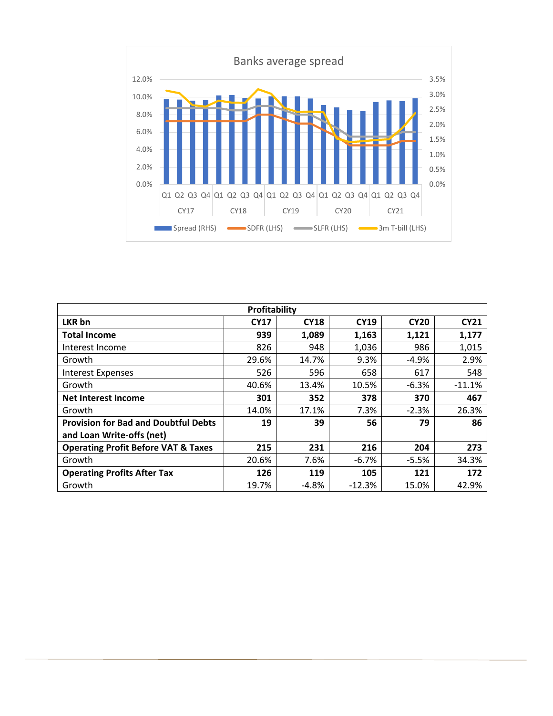

| Profitability                                  |             |             |             |             |             |  |  |
|------------------------------------------------|-------------|-------------|-------------|-------------|-------------|--|--|
| LKR bn                                         | <b>CY17</b> | <b>CY18</b> | <b>CY19</b> | <b>CY20</b> | <b>CY21</b> |  |  |
| <b>Total Income</b>                            | 939         | 1,089       | 1,163       | 1,121       | 1,177       |  |  |
| Interest Income                                | 826         | 948         | 1,036       | 986         | 1,015       |  |  |
| Growth                                         | 29.6%       | 14.7%       | 9.3%        | $-4.9%$     | 2.9%        |  |  |
| <b>Interest Expenses</b>                       | 526         | 596         | 658         | 617         | 548         |  |  |
| Growth                                         | 40.6%       | 13.4%       | 10.5%       | $-6.3%$     | $-11.1%$    |  |  |
| Net Interest Income                            | 301         | 352         | 378         | 370         | 467         |  |  |
| Growth                                         | 14.0%       | 17.1%       | 7.3%        | $-2.3%$     | 26.3%       |  |  |
| <b>Provision for Bad and Doubtful Debts</b>    | 19          | 39          | 56          | 79          | 86          |  |  |
| and Loan Write-offs (net)                      |             |             |             |             |             |  |  |
| <b>Operating Profit Before VAT &amp; Taxes</b> | 215         | 231         | 216         | 204         | 273         |  |  |
| Growth                                         | 20.6%       | 7.6%        | $-6.7%$     | $-5.5%$     | 34.3%       |  |  |
| <b>Operating Profits After Tax</b>             | 126         | 119         | 105         | 121         | 172         |  |  |
| Growth                                         | 19.7%       | $-4.8%$     | $-12.3%$    | 15.0%       | 42.9%       |  |  |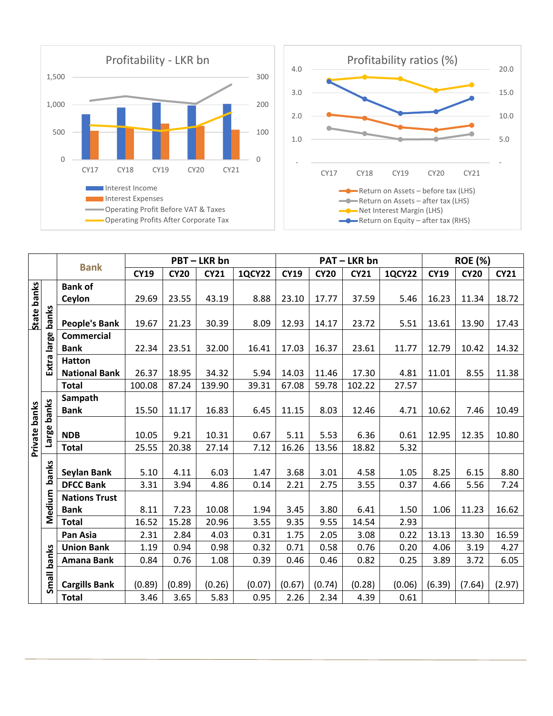



|                    | <b>Bank</b> |                      | PBT-LKR bn  |             |             |               | <b>PAT-LKR bn</b> |             |             |               | <b>ROE (%)</b> |             |             |
|--------------------|-------------|----------------------|-------------|-------------|-------------|---------------|-------------------|-------------|-------------|---------------|----------------|-------------|-------------|
|                    |             |                      | <b>CY19</b> | <b>CY20</b> | <b>CY21</b> | <b>1QCY22</b> | <b>CY19</b>       | <b>CY20</b> | <b>CY21</b> | <b>1QCY22</b> | <b>CY19</b>    | <b>CY20</b> | <b>CY21</b> |
|                    |             | <b>Bank of</b>       |             |             |             |               |                   |             |             |               |                |             |             |
| <b>State banks</b> |             | Ceylon               | 29.69       | 23.55       | 43.19       | 8.88          | 23.10             | 17.77       | 37.59       | 5.46          | 16.23          | 11.34       | 18.72       |
|                    |             |                      |             |             |             |               |                   |             |             |               |                |             |             |
|                    | banks       | <b>People's Bank</b> | 19.67       | 21.23       | 30.39       | 8.09          | 12.93             | 14.17       | 23.72       | 5.51          | 13.61          | 13.90       | 17.43       |
|                    | large       | <b>Commercial</b>    |             |             |             |               |                   |             |             |               |                |             |             |
|                    |             | <b>Bank</b>          | 22.34       | 23.51       | 32.00       | 16.41         | 17.03             | 16.37       | 23.61       | 11.77         | 12.79          | 10.42       | 14.32       |
|                    | Extra       | <b>Hatton</b>        |             |             |             |               |                   |             |             |               |                |             |             |
|                    |             | <b>National Bank</b> | 26.37       | 18.95       | 34.32       | 5.94          | 14.03             | 11.46       | 17.30       | 4.81          | 11.01          | 8.55        | 11.38       |
|                    |             | <b>Total</b>         | 100.08      | 87.24       | 139.90      | 39.31         | 67.08             | 59.78       | 102.22      | 27.57         |                |             |             |
| Private banks      |             | Sampath              |             |             |             |               |                   |             |             |               |                |             |             |
|                    | banks       | <b>Bank</b>          | 15.50       | 11.17       | 16.83       | 6.45          | 11.15             | 8.03        | 12.46       | 4.71          | 10.62          | 7.46        | 10.49       |
|                    |             |                      |             |             |             |               |                   |             |             |               |                |             |             |
|                    | Large       | <b>NDB</b>           | 10.05       | 9.21        | 10.31       | 0.67          | 5.11              | 5.53        | 6.36        | 0.61          | 12.95          | 12.35       | 10.80       |
|                    |             | <b>Total</b>         | 25.55       | 20.38       | 27.14       | 7.12          | 16.26             | 13.56       | 18.82       | 5.32          |                |             |             |
|                    |             |                      |             |             |             |               |                   |             |             |               |                |             |             |
|                    | banks       | Seylan Bank          | 5.10        | 4.11        | 6.03        | 1.47          | 3.68              | 3.01        | 4.58        | 1.05          | 8.25           | 6.15        | 8.80        |
|                    |             | <b>DFCC Bank</b>     | 3.31        | 3.94        | 4.86        | 0.14          | 2.21              | 2.75        | 3.55        | 0.37          | 4.66           | 5.56        | 7.24        |
|                    | Medium      | <b>Nations Trust</b> |             |             |             |               |                   |             |             |               |                |             |             |
|                    |             | <b>Bank</b>          | 8.11        | 7.23        | 10.08       | 1.94          | 3.45              | 3.80        | 6.41        | 1.50          | 1.06           | 11.23       | 16.62       |
|                    |             | <b>Total</b>         | 16.52       | 15.28       | 20.96       | 3.55          | 9.35              | 9.55        | 14.54       | 2.93          |                |             |             |
|                    |             | Pan Asia             | 2.31        | 2.84        | 4.03        | 0.31          | 1.75              | 2.05        | 3.08        | 0.22          | 13.13          | 13.30       | 16.59       |
|                    |             | <b>Union Bank</b>    | 1.19        | 0.94        | 0.98        | 0.32          | 0.71              | 0.58        | 0.76        | 0.20          | 4.06           | 3.19        | 4.27        |
|                    |             | Amana Bank           | 0.84        | 0.76        | 1.08        | 0.39          | 0.46              | 0.46        | 0.82        | 0.25          | 3.89           | 3.72        | 6.05        |
|                    | Small banks |                      |             |             |             |               |                   |             |             |               |                |             |             |
|                    |             | <b>Cargills Bank</b> | (0.89)      | (0.89)      | (0.26)      | (0.07)        | (0.67)            | (0.74)      | (0.28)      | (0.06)        | (6.39)         | (7.64)      | (2.97)      |
|                    |             | <b>Total</b>         | 3.46        | 3.65        | 5.83        | 0.95          | 2.26              | 2.34        | 4.39        | 0.61          |                |             |             |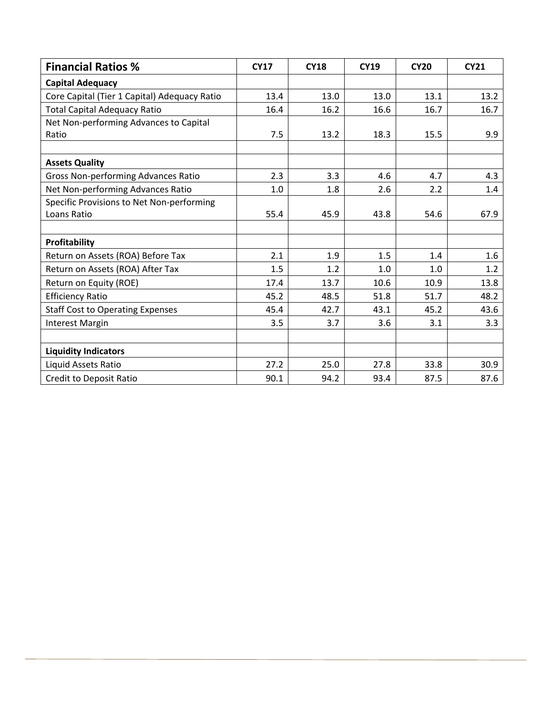| <b>Financial Ratios %</b>                    | <b>CY17</b> | <b>CY18</b> | <b>CY19</b> | <b>CY20</b> | <b>CY21</b> |
|----------------------------------------------|-------------|-------------|-------------|-------------|-------------|
| <b>Capital Adequacy</b>                      |             |             |             |             |             |
| Core Capital (Tier 1 Capital) Adequacy Ratio | 13.4        | 13.0        | 13.0        | 13.1        | 13.2        |
| <b>Total Capital Adequacy Ratio</b>          | 16.4        | 16.2        | 16.6        | 16.7        | 16.7        |
| Net Non-performing Advances to Capital       |             |             |             |             |             |
| Ratio                                        | 7.5         | 13.2        | 18.3        | 15.5        | 9.9         |
|                                              |             |             |             |             |             |
| <b>Assets Quality</b>                        |             |             |             |             |             |
| Gross Non-performing Advances Ratio          | 2.3         | 3.3         | 4.6         | 4.7         | 4.3         |
| Net Non-performing Advances Ratio            | 1.0         | 1.8         | 2.6         | 2.2         | 1.4         |
| Specific Provisions to Net Non-performing    |             |             |             |             |             |
| Loans Ratio                                  | 55.4        | 45.9        | 43.8        | 54.6        | 67.9        |
|                                              |             |             |             |             |             |
| Profitability                                |             |             |             |             |             |
| Return on Assets (ROA) Before Tax            | 2.1         | 1.9         | 1.5         | 1.4         | 1.6         |
| Return on Assets (ROA) After Tax             | 1.5         | 1.2         | 1.0         | 1.0         | 1.2         |
| Return on Equity (ROE)                       | 17.4        | 13.7        | 10.6        | 10.9        | 13.8        |
| <b>Efficiency Ratio</b>                      | 45.2        | 48.5        | 51.8        | 51.7        | 48.2        |
| <b>Staff Cost to Operating Expenses</b>      | 45.4        | 42.7        | 43.1        | 45.2        | 43.6        |
| <b>Interest Margin</b>                       | 3.5         | 3.7         | 3.6         | 3.1         | 3.3         |
|                                              |             |             |             |             |             |
| <b>Liquidity Indicators</b>                  |             |             |             |             |             |
| Liquid Assets Ratio                          | 27.2        | 25.0        | 27.8        | 33.8        | 30.9        |
| Credit to Deposit Ratio                      | 90.1        | 94.2        | 93.4        | 87.5        | 87.6        |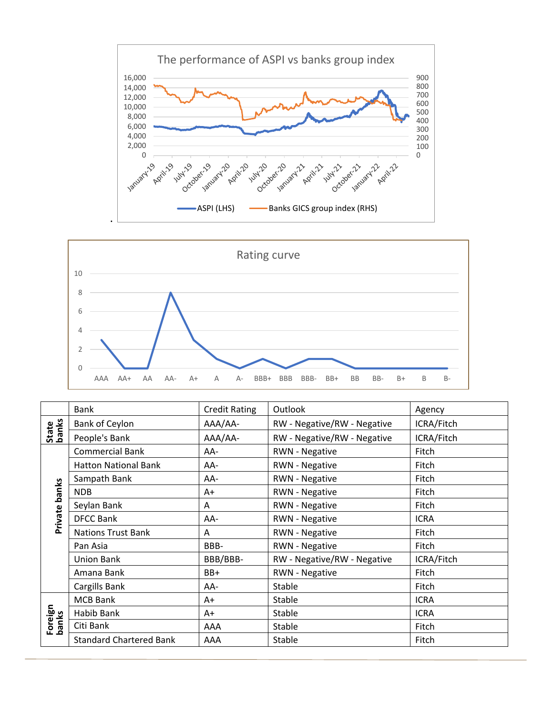



|                  | <b>Bank</b>                    | <b>Credit Rating</b>                    | Outlook                     | Agency      |
|------------------|--------------------------------|-----------------------------------------|-----------------------------|-------------|
|                  | Bank of Ceylon                 | AAA/AA-                                 | RW - Negative/RW - Negative | ICRA/Fitch  |
| State<br>banks   | People's Bank                  | AAA/AA-                                 | RW - Negative/RW - Negative | ICRA/Fitch  |
|                  | <b>Commercial Bank</b>         | AA-                                     | <b>RWN - Negative</b>       | Fitch       |
|                  | <b>Hatton National Bank</b>    | AA-                                     | <b>RWN - Negative</b>       | Fitch       |
|                  | Sampath Bank                   | AA-                                     | <b>RWN - Negative</b>       | Fitch       |
| Private banks    | <b>NDB</b>                     | A+                                      | <b>RWN - Negative</b>       | Fitch       |
|                  | Seylan Bank                    | A                                       | <b>RWN - Negative</b>       | Fitch       |
|                  | <b>DFCC Bank</b>               | AA-                                     | <b>RWN - Negative</b>       | <b>ICRA</b> |
|                  | <b>Nations Trust Bank</b>      | A                                       | <b>RWN - Negative</b>       | Fitch       |
|                  | Pan Asia                       | BBB-                                    | <b>RWN - Negative</b>       | Fitch       |
|                  | <b>Union Bank</b>              | RW - Negative/RW - Negative<br>BBB/BBB- |                             | ICRA/Fitch  |
|                  | Amana Bank                     | BB+                                     | <b>RWN - Negative</b>       | Fitch       |
|                  | Cargills Bank                  | AA-                                     | Stable                      | Fitch       |
| Foreign<br>banks | <b>MCB Bank</b><br>A+          |                                         | Stable                      | <b>ICRA</b> |
|                  | Habib Bank                     | $A+$                                    |                             | <b>ICRA</b> |
|                  | Citi Bank                      | AAA                                     | Stable                      | Fitch       |
|                  | <b>Standard Chartered Bank</b> | AAA                                     | Stable                      | Fitch       |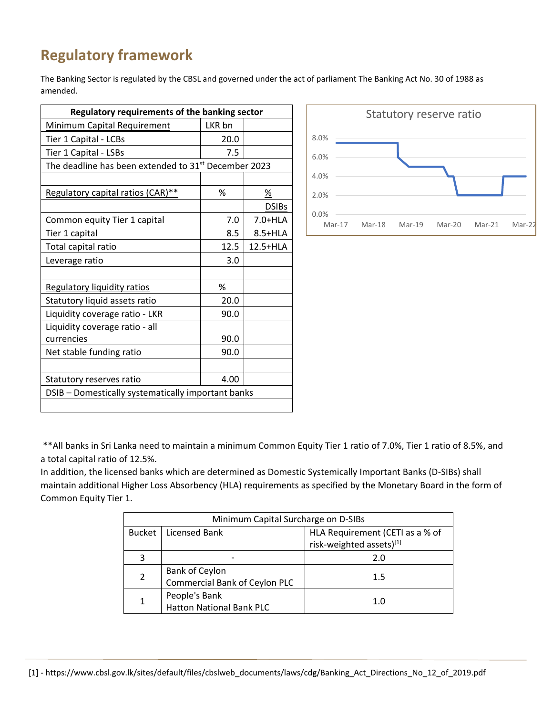# **Regulatory framework**

The Banking Sector is regulated by the CBSL and governed under the act of parliament The Banking Act No. 30 of 1988 as amended.

| <b>Regulatory requirements of the banking sector</b>             |        |              |  |  |  |  |
|------------------------------------------------------------------|--------|--------------|--|--|--|--|
| <b>Minimum Capital Requirement</b>                               | LKR bn |              |  |  |  |  |
| Tier 1 Capital - LCBs                                            | 20.0   |              |  |  |  |  |
| Tier 1 Capital - LSBs                                            | 7.5    |              |  |  |  |  |
| The deadline has been extended to 31 <sup>st</sup> December 2023 |        |              |  |  |  |  |
|                                                                  |        |              |  |  |  |  |
| Regulatory capital ratios (CAR)**                                | %      | %            |  |  |  |  |
|                                                                  |        | <b>DSIBs</b> |  |  |  |  |
| Common equity Tier 1 capital                                     | 7.0    | 7.0+HLA      |  |  |  |  |
| Tier 1 capital                                                   | 8.5    | 8.5+HLA      |  |  |  |  |
| Total capital ratio                                              | 12.5   | 12.5+HLA     |  |  |  |  |
| Leverage ratio                                                   | 3.0    |              |  |  |  |  |
|                                                                  |        |              |  |  |  |  |
| <b>Regulatory liquidity ratios</b>                               | %      |              |  |  |  |  |
| Statutory liquid assets ratio                                    | 20.0   |              |  |  |  |  |
| Liquidity coverage ratio - LKR                                   | 90.0   |              |  |  |  |  |
| Liquidity coverage ratio - all                                   |        |              |  |  |  |  |
| currencies                                                       | 90.0   |              |  |  |  |  |
| Net stable funding ratio                                         | 90.0   |              |  |  |  |  |
|                                                                  |        |              |  |  |  |  |
| 4.00<br>Statutory reserves ratio                                 |        |              |  |  |  |  |
| DSIB - Domestically systematically important banks               |        |              |  |  |  |  |
|                                                                  |        |              |  |  |  |  |



\*\*All banks in Sri Lanka need to maintain a minimum Common Equity Tier 1 ratio of 7.0%, Tier 1 ratio of 8.5%, and a total capital ratio of 12.5%.

In addition, the licensed banks which are determined as Domestic Systemically Important Banks (D-SIBs) shall maintain additional Higher Loss Absorbency (HLA) requirements as specified by the Monetary Board in the form of Common Equity Tier 1.

|                | Minimum Capital Surcharge on D-SIBs |                                 |  |  |  |  |  |
|----------------|-------------------------------------|---------------------------------|--|--|--|--|--|
|                | Bucket   Licensed Bank              | HLA Requirement (CETI as a % of |  |  |  |  |  |
|                |                                     | risk-weighted assets)[1]        |  |  |  |  |  |
| 3              |                                     | 2.0                             |  |  |  |  |  |
| $\overline{2}$ | Bank of Ceylon                      |                                 |  |  |  |  |  |
|                | Commercial Bank of Ceylon PLC       | 1.5                             |  |  |  |  |  |
| 1              | People's Bank                       | 1.0                             |  |  |  |  |  |
|                | <b>Hatton National Bank PLC</b>     |                                 |  |  |  |  |  |